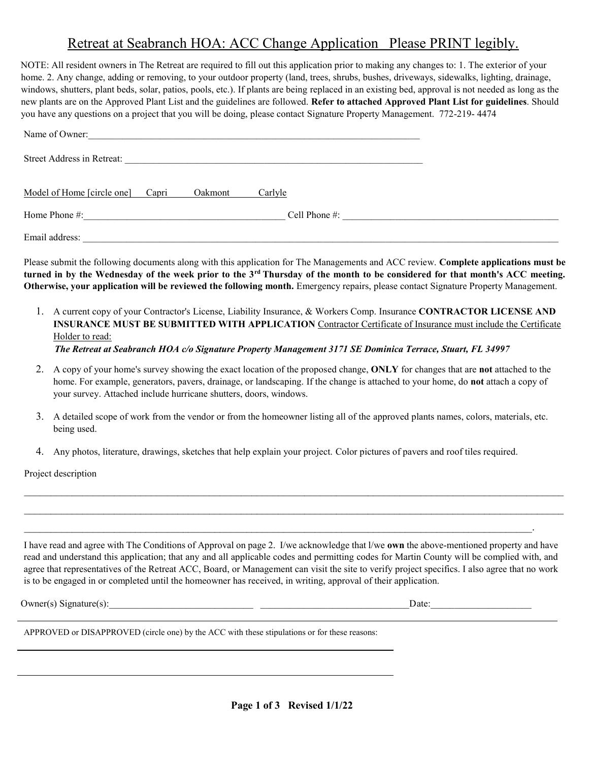# Retreat at Seabranch HOA: ACC Change Application Please PRINT legibly.

NOTE: All resident owners in The Retreat are required to fill out this application prior to making any changes to: 1. The exterior of your home. 2. Any change, adding or removing, to your outdoor property (land, trees, shrubs, bushes, driveways, sidewalks, lighting, drainage, windows, shutters, plant beds, solar, patios, pools, etc.). If plants are being replaced in an existing bed, approval is not needed as long as the new plants are on the Approved Plant List and the guidelines are followed. **Refer to attached Approved Plant List for guidelines**. Should you have any questions on a project that you will be doing, please contact Signature Property Management. 772-219- 4474

| Name of Owner:                                         |               |
|--------------------------------------------------------|---------------|
| Street Address in Retreat:                             |               |
| Model of Home [circle one] Capri<br>Carlyle<br>Oakmont |               |
| Home Phone #:                                          | Cell Phone #: |
| Email address:                                         |               |

Please submit the following documents along with this application for The Managements and ACC review. **Complete applications must be turned in by the Wednesday of the week prior to the 3rd Thursday of the month to be considered for that month's ACC meeting. Otherwise, your application will be reviewed the following month.** Emergency repairs, please contact Signature Property Management.

- 1. A current copy of your Contractor's License, Liability Insurance, & Workers Comp. Insurance **CONTRACTOR LICENSE AND INSURANCE MUST BE SUBMITTED WITH APPLICATION** Contractor Certificate of Insurance must include the Certificate Holder to read:
	- *The Retreat at Seabranch HOA c/o Signature Property Management 3171 SE Dominica Terrace, Stuart, FL 34997*
- 2. A copy of your home's survey showing the exact location of the proposed change, **ONLY** for changes that are **not** attached to the home. For example, generators, pavers, drainage, or landscaping. If the change is attached to your home, do **not** attach a copy of your survey. Attached include hurricane shutters, doors, windows.
- 3. A detailed scope of work from the vendor or from the homeowner listing all of the approved plants names, colors, materials, etc. being used.

 $\mathcal{L}_\mathcal{L} = \mathcal{L}_\mathcal{L} = \mathcal{L}_\mathcal{L} = \mathcal{L}_\mathcal{L} = \mathcal{L}_\mathcal{L} = \mathcal{L}_\mathcal{L} = \mathcal{L}_\mathcal{L} = \mathcal{L}_\mathcal{L} = \mathcal{L}_\mathcal{L} = \mathcal{L}_\mathcal{L} = \mathcal{L}_\mathcal{L} = \mathcal{L}_\mathcal{L} = \mathcal{L}_\mathcal{L} = \mathcal{L}_\mathcal{L} = \mathcal{L}_\mathcal{L} = \mathcal{L}_\mathcal{L} = \mathcal{L}_\mathcal{L}$  $\mathcal{L}_\mathcal{L} = \mathcal{L}_\mathcal{L} = \mathcal{L}_\mathcal{L} = \mathcal{L}_\mathcal{L} = \mathcal{L}_\mathcal{L} = \mathcal{L}_\mathcal{L} = \mathcal{L}_\mathcal{L} = \mathcal{L}_\mathcal{L} = \mathcal{L}_\mathcal{L} = \mathcal{L}_\mathcal{L} = \mathcal{L}_\mathcal{L} = \mathcal{L}_\mathcal{L} = \mathcal{L}_\mathcal{L} = \mathcal{L}_\mathcal{L} = \mathcal{L}_\mathcal{L} = \mathcal{L}_\mathcal{L} = \mathcal{L}_\mathcal{L}$ 

4. Any photos, literature, drawings, sketches that help explain your project. Color pictures of pavers and roof tiles required.

 $\mathcal{L}_\mathcal{L} = \mathcal{L}_\mathcal{L} = \mathcal{L}_\mathcal{L} = \mathcal{L}_\mathcal{L} = \mathcal{L}_\mathcal{L} = \mathcal{L}_\mathcal{L} = \mathcal{L}_\mathcal{L} = \mathcal{L}_\mathcal{L} = \mathcal{L}_\mathcal{L} = \mathcal{L}_\mathcal{L} = \mathcal{L}_\mathcal{L} = \mathcal{L}_\mathcal{L} = \mathcal{L}_\mathcal{L} = \mathcal{L}_\mathcal{L} = \mathcal{L}_\mathcal{L} = \mathcal{L}_\mathcal{L} = \mathcal{L}_\mathcal{L}$ 

Project description

I have read and agree with The Conditions of Approval on page 2. I/we acknowledge that l/we **own** the above-mentioned property and have read and understand this application; that any and all applicable codes and permitting codes for Martin County will be complied with, and agree that representatives of the Retreat ACC, Board, or Management can visit the site to verify project specifics. I also agree that no work is to be engaged in or completed until the homeowner has received, in writing, approval of their application.

Owner(s) Signature(s):\_\_\_\_\_\_\_\_\_\_\_\_\_\_\_\_\_\_\_\_\_\_\_\_\_\_\_\_\_\_ \_\_\_\_\_\_\_\_\_\_\_\_\_\_\_\_\_\_\_\_\_\_\_\_\_\_\_\_\_\_\_Date:\_\_\_\_\_\_\_\_\_\_\_\_\_\_\_\_\_\_\_\_\_

APPROVED or DISAPPROVED (circle one) by the ACC with these stipulations or for these reasons: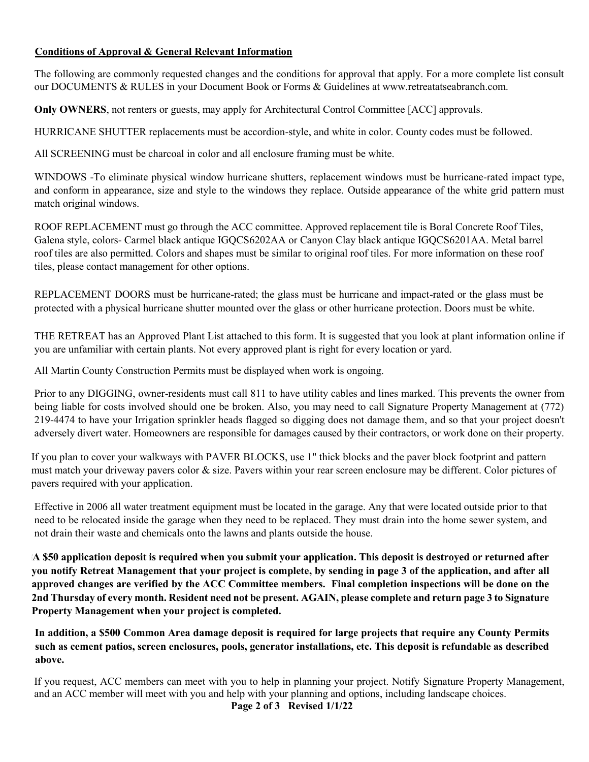## **Conditions of Approval & General Relevant Information**

The following are commonly requested changes and the conditions for approval that apply. For a more complete list consult our DOCUMENTS & RULES in your Document Book or Forms & Guidelines at www.retreatatseabranch.com.

**Only OWNERS**, not renters or guests, may apply for Architectural Control Committee [ACC] approvals.

HURRICANE SHUTTER replacements must be accordion-style, and white in color. County codes must be followed.

All SCREENING must be charcoal in color and all enclosure framing must be white.

WINDOWS -To eliminate physical window hurricane shutters, replacement windows must be hurricane-rated impact type, and conform in appearance, size and style to the windows they replace. Outside appearance of the white grid pattern must match original windows.

ROOF REPLACEMENT must go through the ACC committee. Approved replacement tile is Boral Concrete Roof Tiles, Galena style, colors- Carmel black antique IGQCS6202AA or Canyon Clay black antique IGQCS6201AA. Metal barrel roof tiles are also permitted. Colors and shapes must be similar to original roof tiles. For more information on these roof tiles, please contact management for other options.

REPLACEMENT DOORS must be hurricane-rated; the glass must be hurricane and impact-rated or the glass must be protected with a physical hurricane shutter mounted over the glass or other hurricane protection. Doors must be white.

THE RETREAT has an Approved Plant List attached to this form. It is suggested that you look at plant information online if you are unfamiliar with certain plants. Not every approved plant is right for every location or yard.

All Martin County Construction Permits must be displayed when work is ongoing.

Prior to any DIGGING, owner-residents must call 811 to have utility cables and lines marked. This prevents the owner from being liable for costs involved should one be broken. Also, you may need to call Signature Property Management at (772) 219-4474 to have your Irrigation sprinkler heads flagged so digging does not damage them, and so that your project doesn't adversely divert water. Homeowners are responsible for damages caused by their contractors, or work done on their property.

If you plan to cover your walkways with PAVER BLOCKS, use 1" thick blocks and the paver block footprint and pattern must match your driveway pavers color & size. Pavers within your rear screen enclosure may be different. Color pictures of pavers required with your application.

Effective in 2006 all water treatment equipment must be located in the garage. Any that were located outside prior to that need to be relocated inside the garage when they need to be replaced. They must drain into the home sewer system, and not drain their waste and chemicals onto the lawns and plants outside the house.

**A \$50 application deposit is required when you submit your application. This deposit is destroyed or returned after you notify Retreat Management that your project is complete, by sending in page 3 of the application, and after all approved changes are verified by the ACC Committee members. Final completion inspections will be done on the 2nd Thursday of every month. Resident need not be present. AGAIN, please complete and return page 3 to Signature Property Management when your project is completed.**

**In addition, a \$500 Common Area damage deposit is required for large projects that require any County Permits such as cement patios, screen enclosures, pools, generator installations, etc. This deposit is refundable as described above.**

If you request, ACC members can meet with you to help in planning your project. Notify Signature Property Management, and an ACC member will meet with you and help with your planning and options, including landscape choices.

**Page 2 of 3 Revised 1/1/22**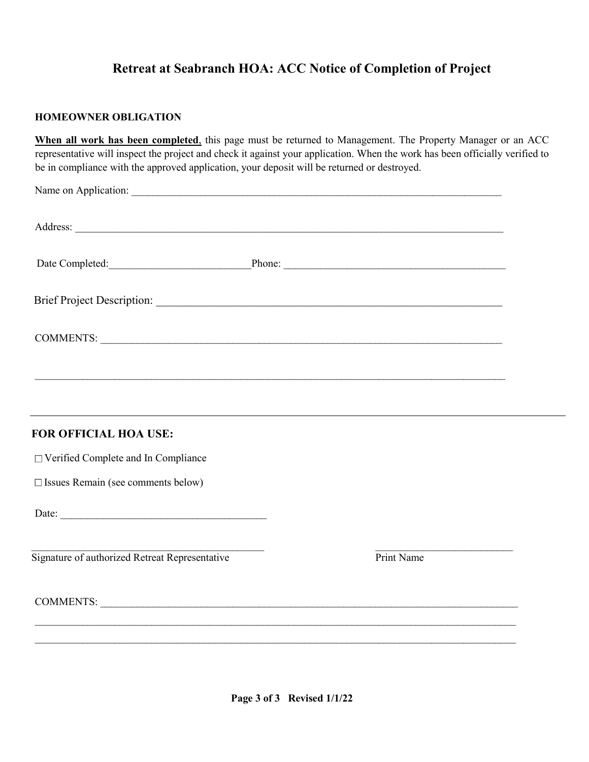# **Retreat at Seabranch HOA: ACC Notice of Completion of Project**

## **HOMEOWNER OBLIGATION**

**When all work has been completed**, this page must be returned to Management. The Property Manager or an ACC representative will inspect the project and check it against your application. When the work has been officially verified to be in compliance with the approved application, your deposit will be returned or destroyed.

|                                                | Date Completed: Phone: Phone: Phone: 2008. Phone: 2008. Phone: 2008. Phone: 2008. Phone: 2008. Phone: 2008. Phone: 2008. Phone: 2008. Phone: 2008. Phone: 2008. Phone: 2008. Phone: 2008. Phone: 2008. Phone: 2008. Phone: 200 |
|------------------------------------------------|--------------------------------------------------------------------------------------------------------------------------------------------------------------------------------------------------------------------------------|
|                                                |                                                                                                                                                                                                                                |
| COMMENTS:                                      |                                                                                                                                                                                                                                |
|                                                |                                                                                                                                                                                                                                |
|                                                |                                                                                                                                                                                                                                |
| FOR OFFICIAL HOA USE:                          |                                                                                                                                                                                                                                |
| □ Verified Complete and In Compliance          |                                                                                                                                                                                                                                |
| □ Issues Remain (see comments below)           |                                                                                                                                                                                                                                |
|                                                |                                                                                                                                                                                                                                |
| Signature of authorized Retreat Representative | Print Name                                                                                                                                                                                                                     |
| COMMENTS:                                      |                                                                                                                                                                                                                                |
|                                                |                                                                                                                                                                                                                                |
|                                                |                                                                                                                                                                                                                                |